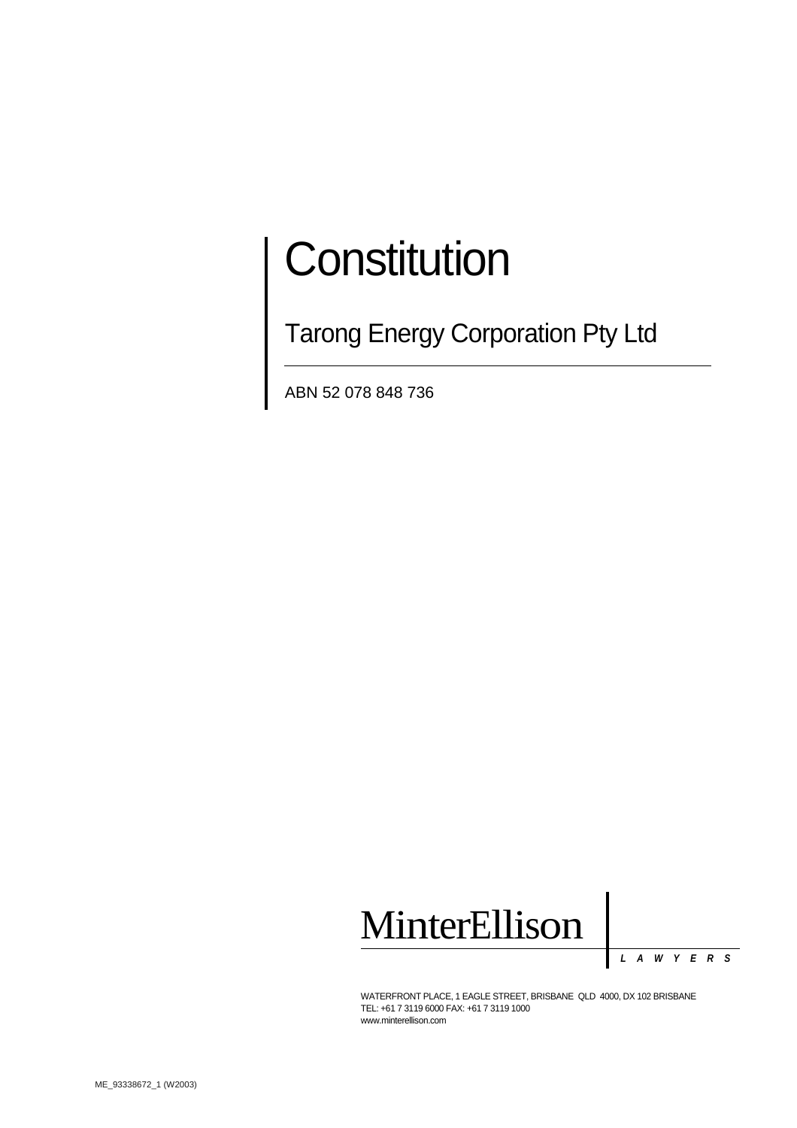# **Constitution**

**Tarong Energy Corporation Pty Ltd** 

ABN 52 078 848 736



*LAWYERS*

WATERFRONT PLACE, 1 EAGLE STREET, BRISBANE QLD 4000, DX 102 BRISBANE TEL: +61 7 3119 6000 FAX: +61 7 3119 1000 www.minterellison.com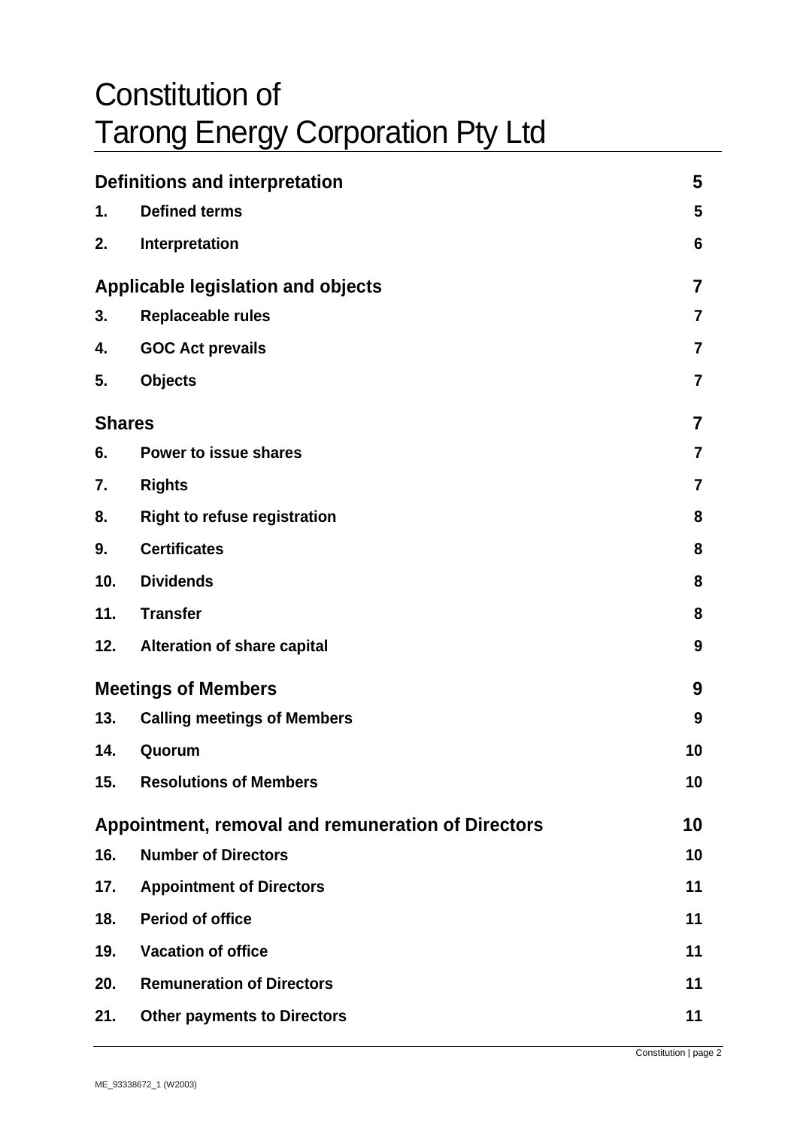# Constitution of Tarong Energy Corporation Pty Ltd

| Definitions and interpretation                     |                                     | 5                       |
|----------------------------------------------------|-------------------------------------|-------------------------|
| 1.                                                 | <b>Defined terms</b>                | 5                       |
| 2.                                                 | Interpretation                      | 6                       |
| <b>Applicable legislation and objects</b>          |                                     | $\overline{\mathbf{7}}$ |
| 3.                                                 | <b>Replaceable rules</b>            | 7                       |
| 4.                                                 | <b>GOC Act prevails</b>             | $\overline{7}$          |
| 5.                                                 | <b>Objects</b>                      | 7                       |
| <b>Shares</b>                                      |                                     | 7                       |
| 6.                                                 | Power to issue shares               | $\overline{7}$          |
| 7.                                                 | <b>Rights</b>                       | $\overline{7}$          |
| 8.                                                 | <b>Right to refuse registration</b> | 8                       |
| 9.                                                 | <b>Certificates</b>                 | 8                       |
| 10.                                                | <b>Dividends</b>                    | 8                       |
| 11.                                                | <b>Transfer</b>                     | 8                       |
| 12.                                                | <b>Alteration of share capital</b>  | 9                       |
| <b>Meetings of Members</b>                         |                                     |                         |
| 13.                                                | <b>Calling meetings of Members</b>  | 9                       |
| 14.                                                | Quorum                              | 10                      |
| 15.                                                | <b>Resolutions of Members</b>       | 10                      |
| Appointment, removal and remuneration of Directors |                                     | 10                      |
| 16.                                                | <b>Number of Directors</b>          | 10                      |
| 17.                                                | <b>Appointment of Directors</b>     | 11                      |
| 18.                                                | <b>Period of office</b>             | 11                      |
| 19.                                                | <b>Vacation of office</b>           | 11                      |
| 20.                                                | <b>Remuneration of Directors</b>    | 11                      |
| 21.                                                | <b>Other payments to Directors</b>  | 11                      |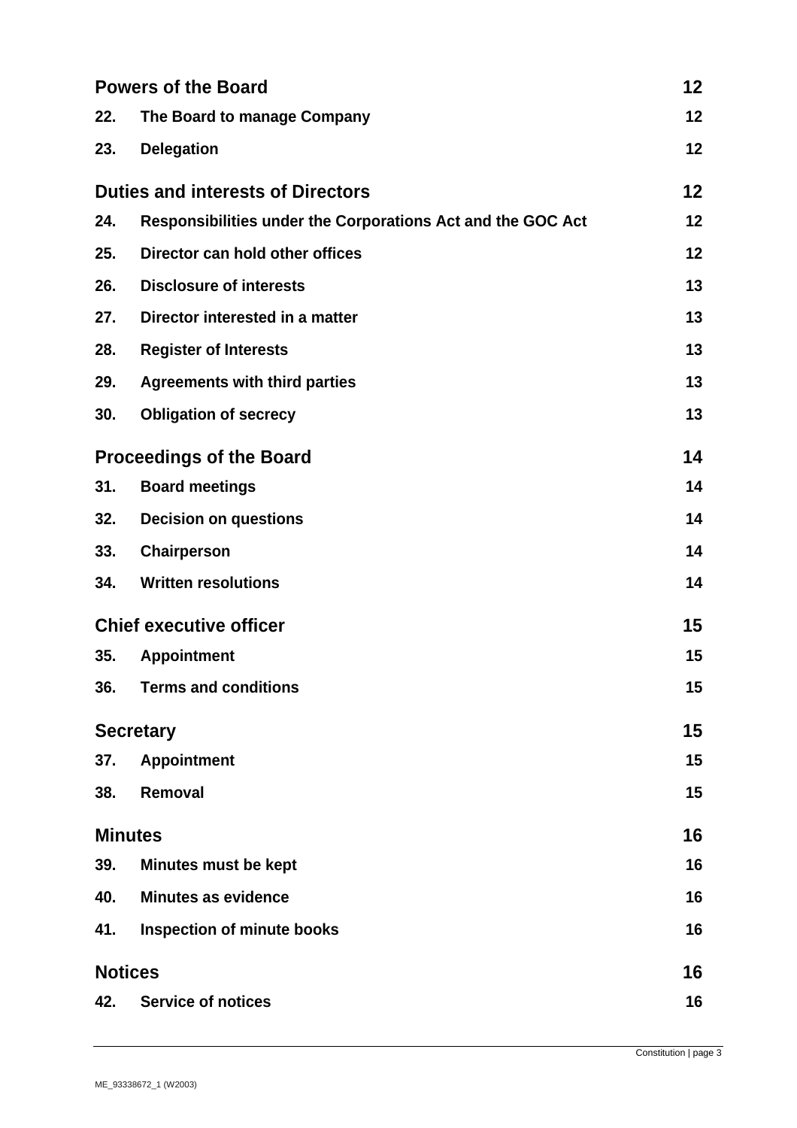| <b>Powers of the Board</b>               |                                                             | 12 |
|------------------------------------------|-------------------------------------------------------------|----|
| 22.                                      | The Board to manage Company                                 | 12 |
| 23.                                      | <b>Delegation</b>                                           | 12 |
| <b>Duties and interests of Directors</b> |                                                             | 12 |
| 24.                                      | Responsibilities under the Corporations Act and the GOC Act | 12 |
| 25.                                      | Director can hold other offices                             | 12 |
| 26.                                      | <b>Disclosure of interests</b>                              | 13 |
| 27.                                      | Director interested in a matter                             | 13 |
| 28.                                      | <b>Register of Interests</b>                                | 13 |
| 29.                                      | <b>Agreements with third parties</b>                        | 13 |
| 30.                                      | <b>Obligation of secrecy</b>                                | 13 |
| <b>Proceedings of the Board</b>          |                                                             | 14 |
| 31.                                      | <b>Board meetings</b>                                       | 14 |
| 32.                                      | <b>Decision on questions</b>                                | 14 |
| 33.                                      | Chairperson                                                 | 14 |
| 34.                                      | <b>Written resolutions</b>                                  | 14 |
|                                          | <b>Chief executive officer</b>                              |    |
| 35.                                      | <b>Appointment</b>                                          | 15 |
| 36.                                      | <b>Terms and conditions</b>                                 | 15 |
| <b>Secretary</b>                         |                                                             | 15 |
| 37.                                      | <b>Appointment</b>                                          | 15 |
| 38.                                      | Removal                                                     | 15 |
|                                          | <b>Minutes</b>                                              | 16 |
| 39.                                      | <b>Minutes must be kept</b>                                 | 16 |
| 40.                                      | <b>Minutes as evidence</b>                                  | 16 |
| 41.                                      | <b>Inspection of minute books</b>                           | 16 |
| <b>Notices</b>                           |                                                             | 16 |
| 42.                                      | <b>Service of notices</b>                                   | 16 |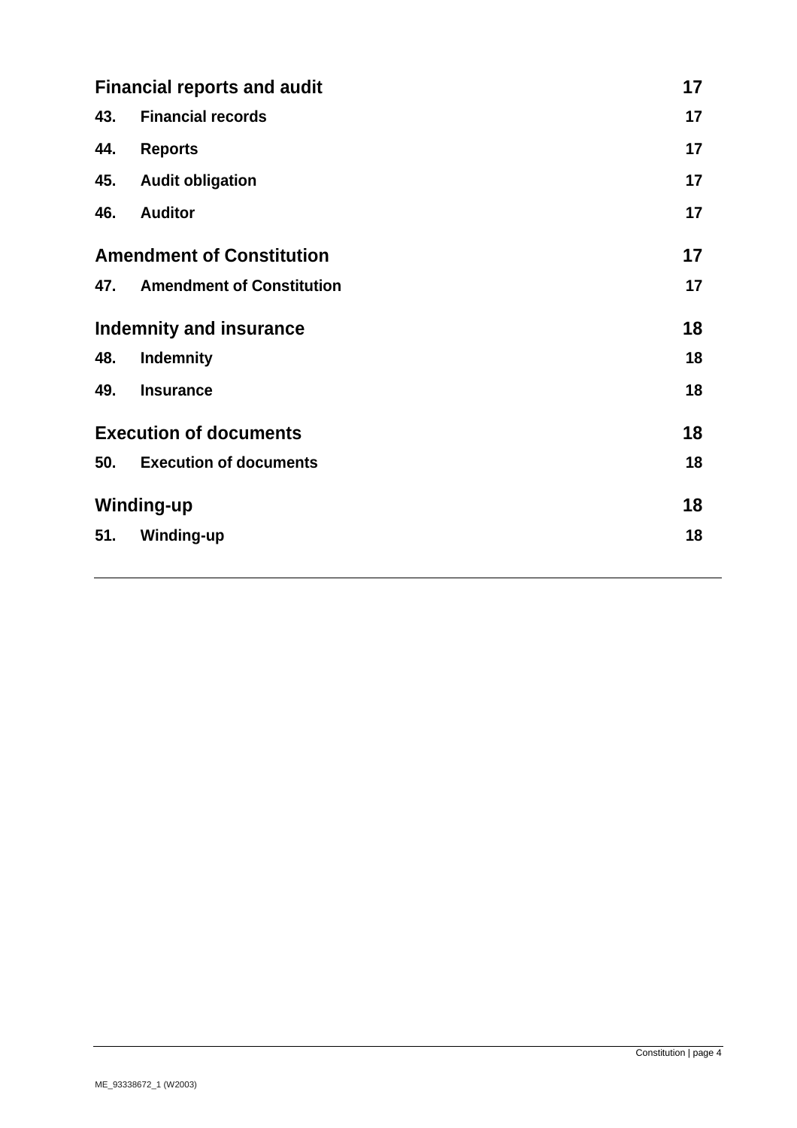| <b>Financial reports and audit</b> |                                  | 17 |
|------------------------------------|----------------------------------|----|
| 43.                                | <b>Financial records</b>         | 17 |
| 44.                                | <b>Reports</b>                   | 17 |
| 45.                                | <b>Audit obligation</b>          | 17 |
| 46.                                | <b>Auditor</b>                   | 17 |
| <b>Amendment of Constitution</b>   |                                  | 17 |
| 47.                                | <b>Amendment of Constitution</b> | 17 |
| <b>Indemnity and insurance</b>     |                                  | 18 |
| 48.                                | <b>Indemnity</b>                 | 18 |
| 49.                                | <b>Insurance</b>                 | 18 |
| <b>Execution of documents</b>      |                                  | 18 |
| 50.                                | <b>Execution of documents</b>    | 18 |
| <b>Winding-up</b>                  |                                  | 18 |
| 51.                                | <b>Winding-up</b>                | 18 |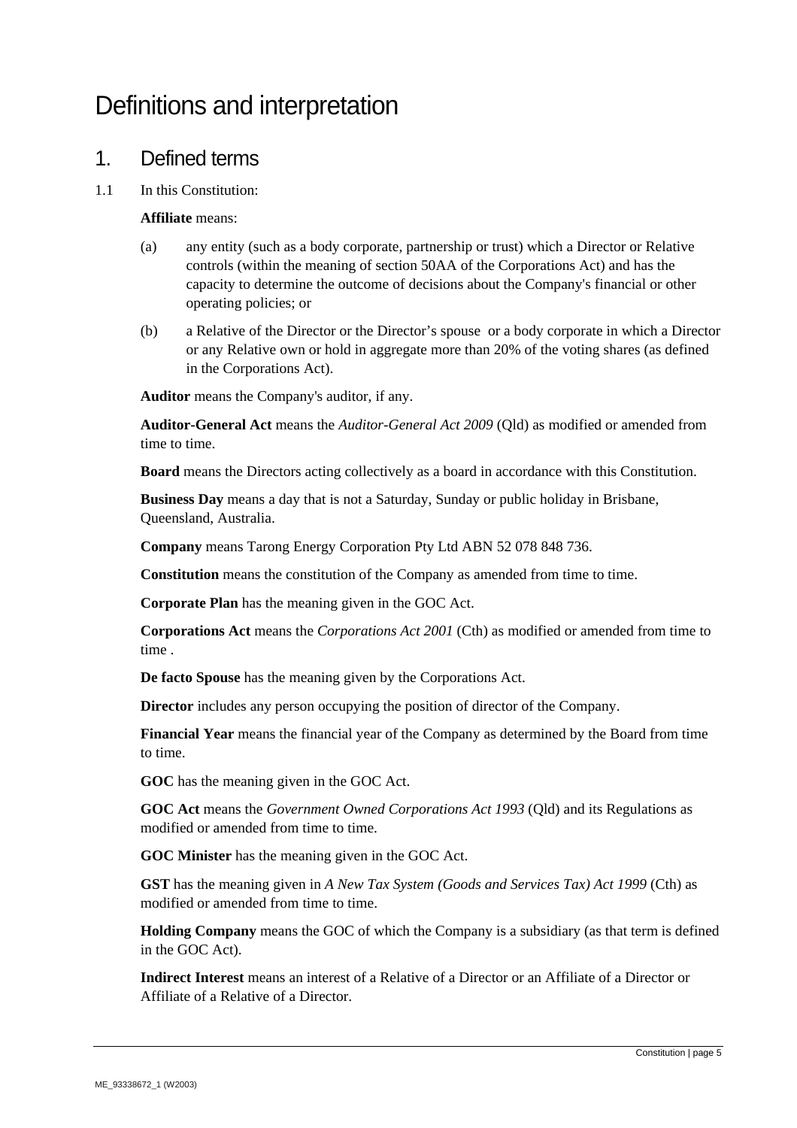# Definitions and interpretation

#### 1. Defined terms

1.1 In this Constitution:

#### **Affiliate** means:

- (a) any entity (such as a body corporate, partnership or trust) which a Director or Relative controls (within the meaning of section 50AA of the Corporations Act) and has the capacity to determine the outcome of decisions about the Company's financial or other operating policies; or
- (b) a Relative of the Director or the Director's spouse or a body corporate in which a Director or any Relative own or hold in aggregate more than 20% of the voting shares (as defined in the Corporations Act).

**Auditor** means the Company's auditor, if any.

**Auditor-General Act** means the *Auditor-General Act 2009* (Qld) as modified or amended from time to time.

**Board** means the Directors acting collectively as a board in accordance with this Constitution.

**Business Day** means a day that is not a Saturday, Sunday or public holiday in Brisbane, Queensland, Australia.

**Company** means Tarong Energy Corporation Pty Ltd ABN 52 078 848 736.

**Constitution** means the constitution of the Company as amended from time to time.

**Corporate Plan** has the meaning given in the GOC Act.

**Corporations Act** means the *Corporations Act 2001* (Cth) as modified or amended from time to time .

**De facto Spouse** has the meaning given by the Corporations Act.

**Director** includes any person occupying the position of director of the Company.

**Financial Year** means the financial year of the Company as determined by the Board from time to time.

**GOC** has the meaning given in the GOC Act.

**GOC Act** means the *Government Owned Corporations Act 1993* (Qld) and its Regulations as modified or amended from time to time.

**GOC Minister** has the meaning given in the GOC Act.

**GST** has the meaning given in *A New Tax System (Goods and Services Tax) Act 1999* (Cth) as modified or amended from time to time.

**Holding Company** means the GOC of which the Company is a subsidiary (as that term is defined in the GOC Act).

**Indirect Interest** means an interest of a Relative of a Director or an Affiliate of a Director or Affiliate of a Relative of a Director.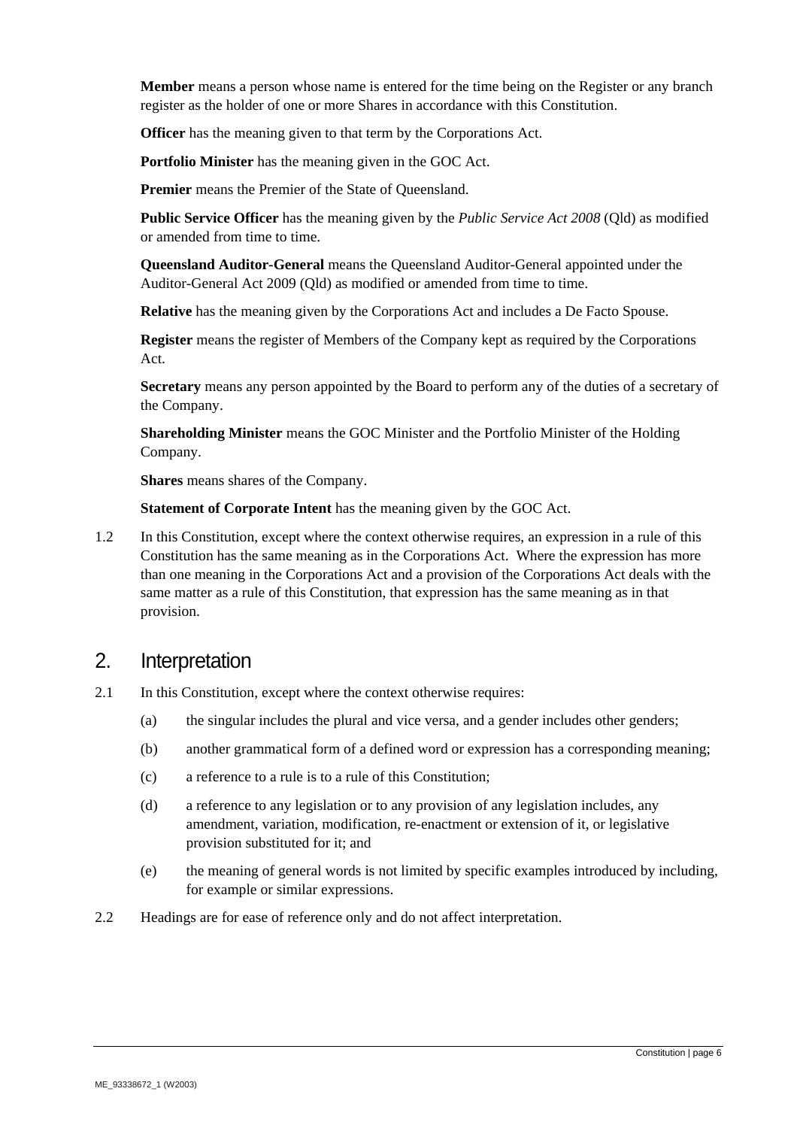**Member** means a person whose name is entered for the time being on the Register or any branch register as the holder of one or more Shares in accordance with this Constitution.

**Officer** has the meaning given to that term by the Corporations Act.

**Portfolio Minister** has the meaning given in the GOC Act.

Premier means the Premier of the State of Queensland.

**Public Service Officer** has the meaning given by the *Public Service Act 2008* (Qld) as modified or amended from time to time.

**Queensland Auditor-General** means the Queensland Auditor-General appointed under the Auditor-General Act 2009 (Qld) as modified or amended from time to time.

**Relative** has the meaning given by the Corporations Act and includes a De Facto Spouse.

**Register** means the register of Members of the Company kept as required by the Corporations Act.

**Secretary** means any person appointed by the Board to perform any of the duties of a secretary of the Company.

**Shareholding Minister** means the GOC Minister and the Portfolio Minister of the Holding Company.

**Shares** means shares of the Company.

**Statement of Corporate Intent** has the meaning given by the GOC Act.

1.2 In this Constitution, except where the context otherwise requires, an expression in a rule of this Constitution has the same meaning as in the Corporations Act. Where the expression has more than one meaning in the Corporations Act and a provision of the Corporations Act deals with the same matter as a rule of this Constitution, that expression has the same meaning as in that provision.

#### 2. Interpretation

- 2.1 In this Constitution, except where the context otherwise requires:
	- (a) the singular includes the plural and vice versa, and a gender includes other genders;
	- (b) another grammatical form of a defined word or expression has a corresponding meaning;
	- (c) a reference to a rule is to a rule of this Constitution;
	- (d) a reference to any legislation or to any provision of any legislation includes, any amendment, variation, modification, re-enactment or extension of it, or legislative provision substituted for it; and
	- (e) the meaning of general words is not limited by specific examples introduced by including, for example or similar expressions.
- 2.2 Headings are for ease of reference only and do not affect interpretation.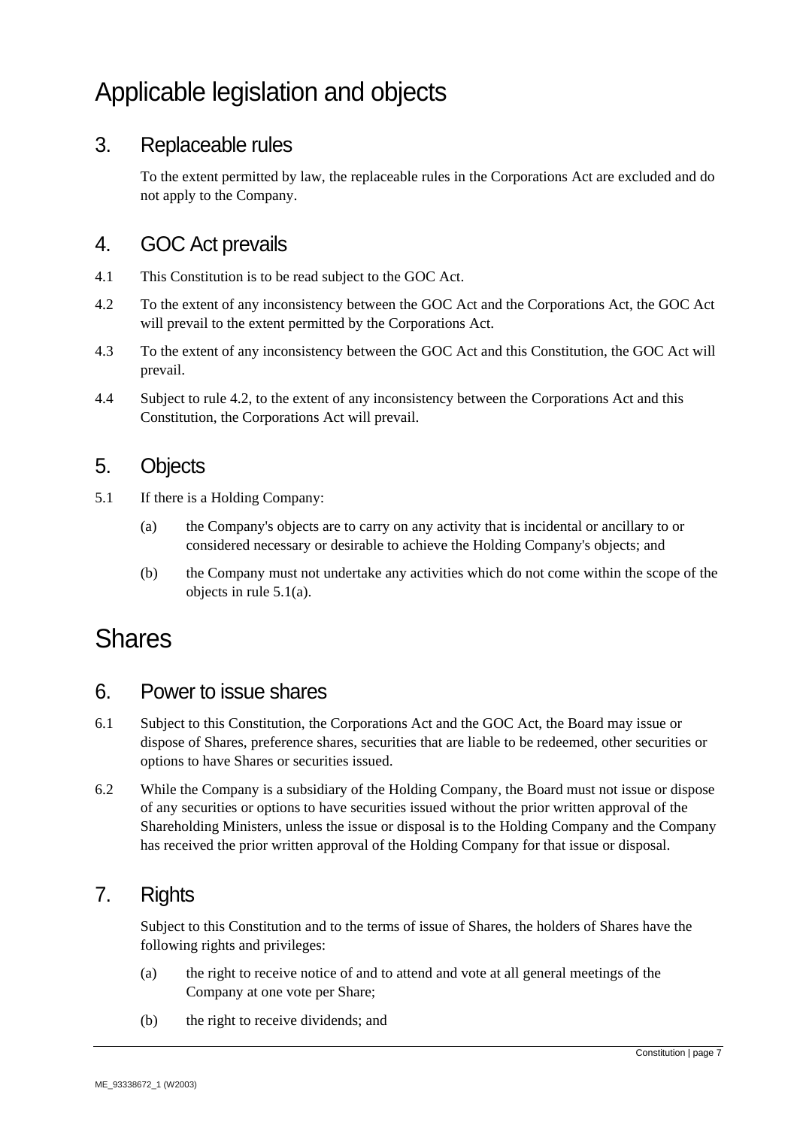# Applicable legislation and objects

#### 3. Replaceable rules

To the extent permitted by law, the replaceable rules in the Corporations Act are excluded and do not apply to the Company.

#### 4. GOC Act prevails

- 4.1 This Constitution is to be read subject to the GOC Act.
- 4.2 To the extent of any inconsistency between the GOC Act and the Corporations Act, the GOC Act will prevail to the extent permitted by the Corporations Act.
- 4.3 To the extent of any inconsistency between the GOC Act and this Constitution, the GOC Act will prevail.
- 4.4 Subject to rule 4.2, to the extent of any inconsistency between the Corporations Act and this Constitution, the Corporations Act will prevail.

#### 5. Objects

- 5.1 If there is a Holding Company:
	- (a) the Company's objects are to carry on any activity that is incidental or ancillary to or considered necessary or desirable to achieve the Holding Company's objects; and
	- (b) the Company must not undertake any activities which do not come within the scope of the objects in rule 5.1(a).

### Shares

#### 6. Power to issue shares

- 6.1 Subject to this Constitution, the Corporations Act and the GOC Act, the Board may issue or dispose of Shares, preference shares, securities that are liable to be redeemed, other securities or options to have Shares or securities issued.
- 6.2 While the Company is a subsidiary of the Holding Company, the Board must not issue or dispose of any securities or options to have securities issued without the prior written approval of the Shareholding Ministers, unless the issue or disposal is to the Holding Company and the Company has received the prior written approval of the Holding Company for that issue or disposal.

#### 7. Rights

Subject to this Constitution and to the terms of issue of Shares, the holders of Shares have the following rights and privileges:

- (a) the right to receive notice of and to attend and vote at all general meetings of the Company at one vote per Share;
- (b) the right to receive dividends; and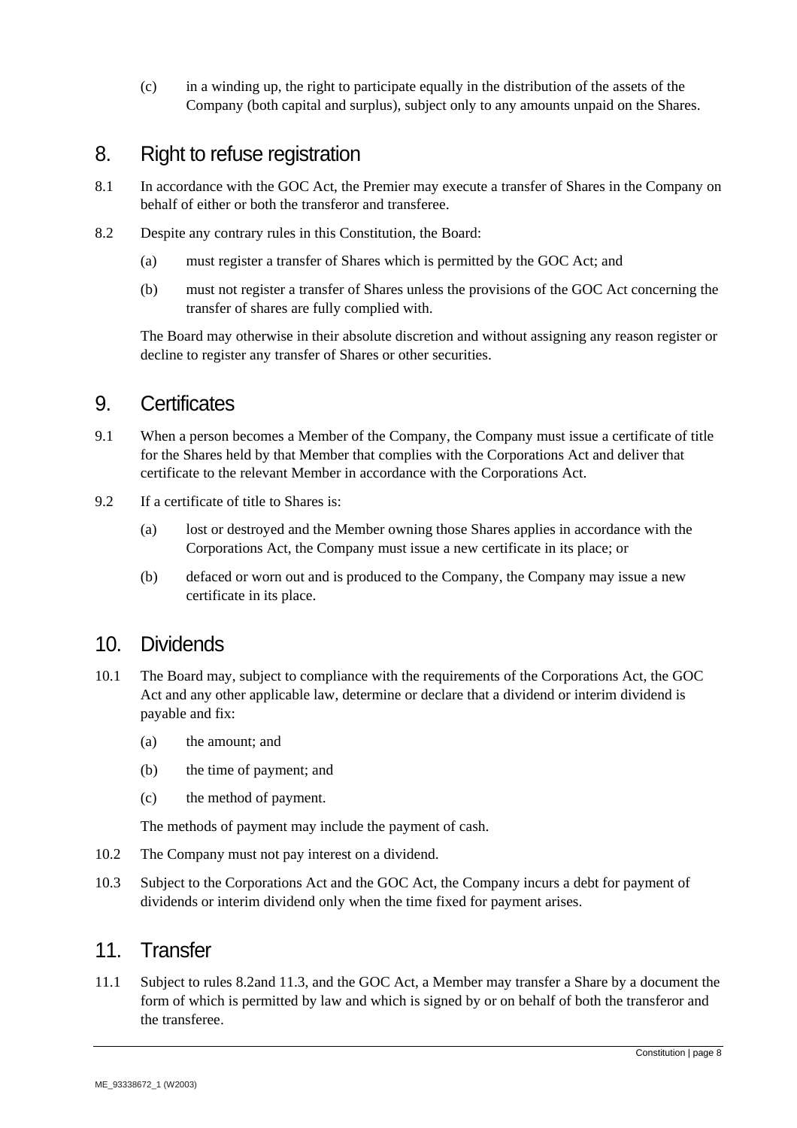(c) in a winding up, the right to participate equally in the distribution of the assets of the Company (both capital and surplus), subject only to any amounts unpaid on the Shares.

#### 8. Right to refuse registration

- 8.1 In accordance with the GOC Act, the Premier may execute a transfer of Shares in the Company on behalf of either or both the transferor and transferee.
- 8.2 Despite any contrary rules in this Constitution, the Board:
	- (a) must register a transfer of Shares which is permitted by the GOC Act; and
	- (b) must not register a transfer of Shares unless the provisions of the GOC Act concerning the transfer of shares are fully complied with.

The Board may otherwise in their absolute discretion and without assigning any reason register or decline to register any transfer of Shares or other securities.

#### 9. Certificates

- 9.1 When a person becomes a Member of the Company, the Company must issue a certificate of title for the Shares held by that Member that complies with the Corporations Act and deliver that certificate to the relevant Member in accordance with the Corporations Act.
- 9.2 If a certificate of title to Shares is:
	- (a) lost or destroyed and the Member owning those Shares applies in accordance with the Corporations Act, the Company must issue a new certificate in its place; or
	- (b) defaced or worn out and is produced to the Company, the Company may issue a new certificate in its place.

#### 10. Dividends

- 10.1 The Board may, subject to compliance with the requirements of the Corporations Act, the GOC Act and any other applicable law, determine or declare that a dividend or interim dividend is payable and fix:
	- (a) the amount; and
	- (b) the time of payment; and
	- (c) the method of payment.

The methods of payment may include the payment of cash.

- 10.2 The Company must not pay interest on a dividend.
- 10.3 Subject to the Corporations Act and the GOC Act, the Company incurs a debt for payment of dividends or interim dividend only when the time fixed for payment arises.

#### 11 Transfer

11.1 Subject to rules 8.2and 11.3, and the GOC Act, a Member may transfer a Share by a document the form of which is permitted by law and which is signed by or on behalf of both the transferor and the transferee.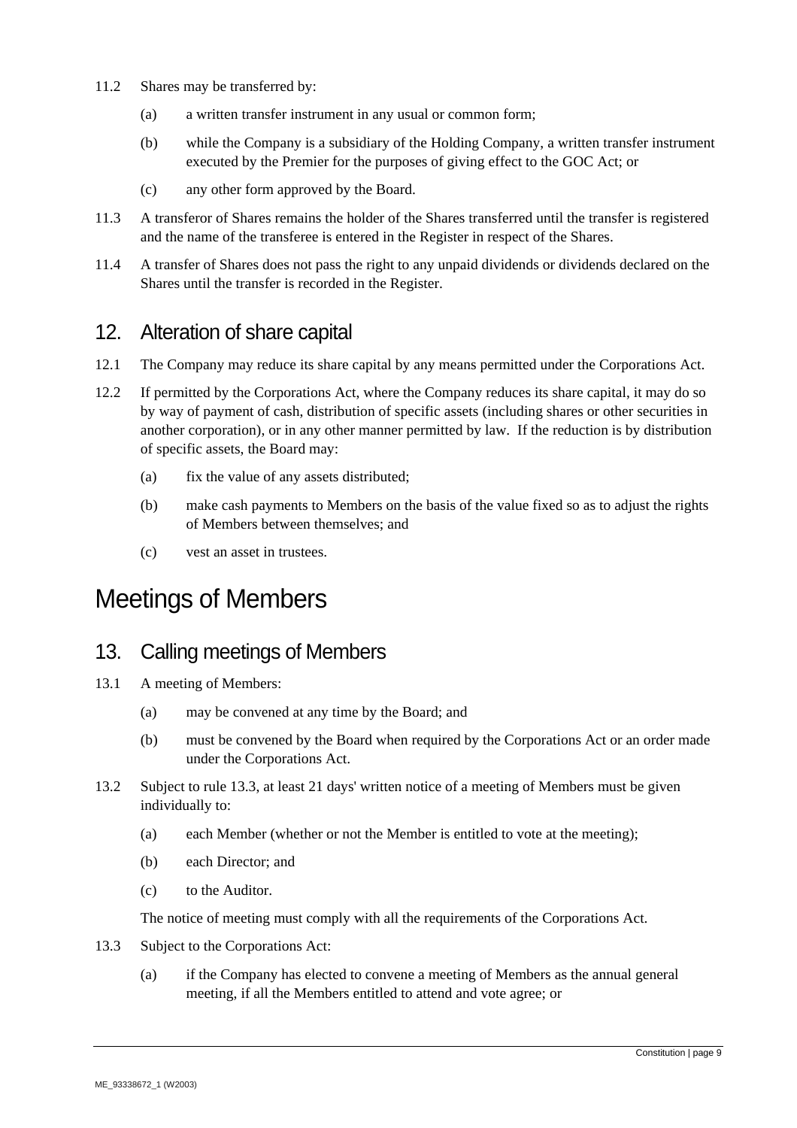- 11.2 Shares may be transferred by:
	- (a) a written transfer instrument in any usual or common form;
	- (b) while the Company is a subsidiary of the Holding Company, a written transfer instrument executed by the Premier for the purposes of giving effect to the GOC Act; or
	- (c) any other form approved by the Board.
- 11.3 A transferor of Shares remains the holder of the Shares transferred until the transfer is registered and the name of the transferee is entered in the Register in respect of the Shares.
- 11.4 A transfer of Shares does not pass the right to any unpaid dividends or dividends declared on the Shares until the transfer is recorded in the Register.

#### 12. Alteration of share capital

- 12.1 The Company may reduce its share capital by any means permitted under the Corporations Act.
- 12.2 If permitted by the Corporations Act, where the Company reduces its share capital, it may do so by way of payment of cash, distribution of specific assets (including shares or other securities in another corporation), or in any other manner permitted by law. If the reduction is by distribution of specific assets, the Board may:
	- (a) fix the value of any assets distributed;
	- (b) make cash payments to Members on the basis of the value fixed so as to adjust the rights of Members between themselves; and
	- (c) vest an asset in trustees.

# Meetings of Members

#### 13. Calling meetings of Members

- 13.1 A meeting of Members:
	- (a) may be convened at any time by the Board; and
	- (b) must be convened by the Board when required by the Corporations Act or an order made under the Corporations Act.
- 13.2 Subject to rule 13.3, at least 21 days' written notice of a meeting of Members must be given individually to:
	- (a) each Member (whether or not the Member is entitled to vote at the meeting);
	- (b) each Director; and
	- (c) to the Auditor.

The notice of meeting must comply with all the requirements of the Corporations Act.

- 13.3 Subject to the Corporations Act:
	- (a) if the Company has elected to convene a meeting of Members as the annual general meeting, if all the Members entitled to attend and vote agree; or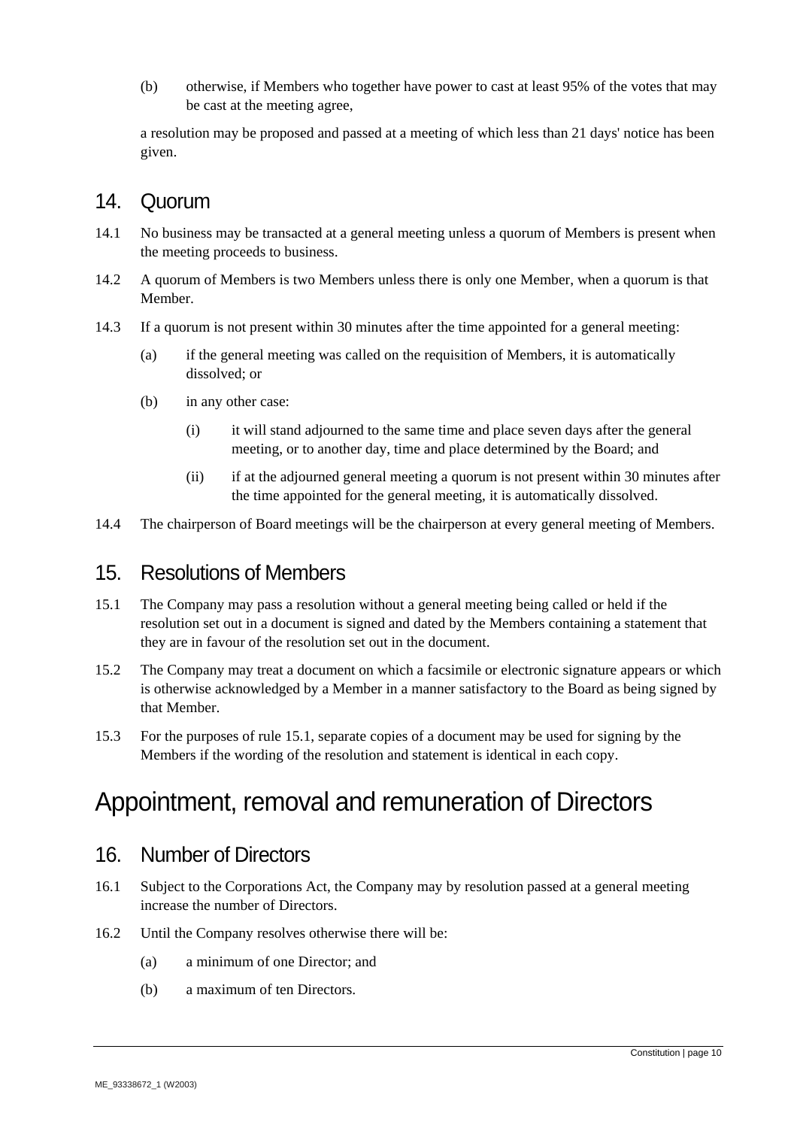(b) otherwise, if Members who together have power to cast at least 95% of the votes that may be cast at the meeting agree,

a resolution may be proposed and passed at a meeting of which less than 21 days' notice has been given.

#### 14. Quorum

- 14.1 No business may be transacted at a general meeting unless a quorum of Members is present when the meeting proceeds to business.
- 14.2 A quorum of Members is two Members unless there is only one Member, when a quorum is that Member.
- 14.3 If a quorum is not present within 30 minutes after the time appointed for a general meeting:
	- (a) if the general meeting was called on the requisition of Members, it is automatically dissolved; or
	- (b) in any other case:
		- (i) it will stand adjourned to the same time and place seven days after the general meeting, or to another day, time and place determined by the Board; and
		- (ii) if at the adjourned general meeting a quorum is not present within 30 minutes after the time appointed for the general meeting, it is automatically dissolved.
- 14.4 The chairperson of Board meetings will be the chairperson at every general meeting of Members.

#### 15. Resolutions of Members

- 15.1 The Company may pass a resolution without a general meeting being called or held if the resolution set out in a document is signed and dated by the Members containing a statement that they are in favour of the resolution set out in the document.
- 15.2 The Company may treat a document on which a facsimile or electronic signature appears or which is otherwise acknowledged by a Member in a manner satisfactory to the Board as being signed by that Member.
- 15.3 For the purposes of rule 15.1, separate copies of a document may be used for signing by the Members if the wording of the resolution and statement is identical in each copy.

# Appointment, removal and remuneration of Directors

#### 16. Number of Directors

- 16.1 Subject to the Corporations Act, the Company may by resolution passed at a general meeting increase the number of Directors.
- 16.2 Until the Company resolves otherwise there will be:
	- (a) a minimum of one Director; and
	- (b) a maximum of ten Directors.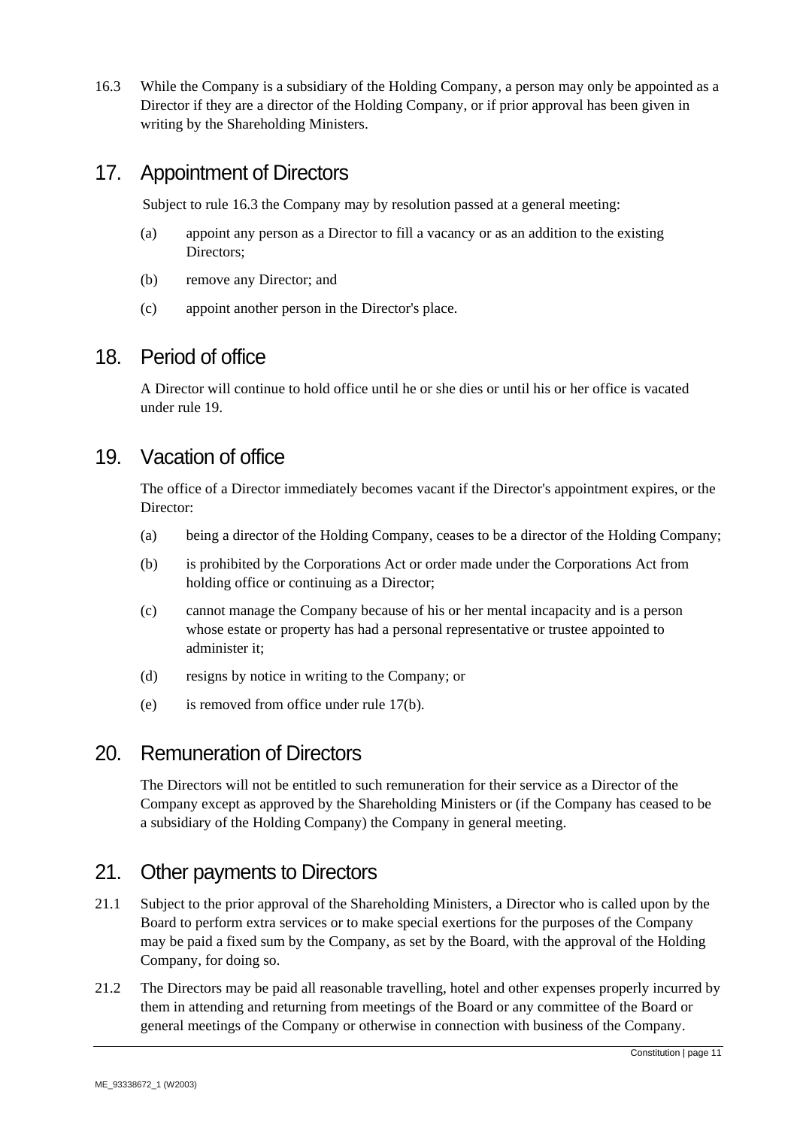16.3 While the Company is a subsidiary of the Holding Company, a person may only be appointed as a Director if they are a director of the Holding Company, or if prior approval has been given in writing by the Shareholding Ministers.

#### 17. Appointment of Directors

Subject to rule 16.3 the Company may by resolution passed at a general meeting:

- (a) appoint any person as a Director to fill a vacancy or as an addition to the existing Directors;
- (b) remove any Director; and
- (c) appoint another person in the Director's place.

#### 18. Period of office

A Director will continue to hold office until he or she dies or until his or her office is vacated under rule 19.

#### 19. Vacation of office

The office of a Director immediately becomes vacant if the Director's appointment expires, or the Director:

- (a) being a director of the Holding Company, ceases to be a director of the Holding Company;
- (b) is prohibited by the Corporations Act or order made under the Corporations Act from holding office or continuing as a Director;
- (c) cannot manage the Company because of his or her mental incapacity and is a person whose estate or property has had a personal representative or trustee appointed to administer it;
- (d) resigns by notice in writing to the Company; or
- (e) is removed from office under rule 17(b).

#### 20. Remuneration of Directors

The Directors will not be entitled to such remuneration for their service as a Director of the Company except as approved by the Shareholding Ministers or (if the Company has ceased to be a subsidiary of the Holding Company) the Company in general meeting.

#### 21. Other payments to Directors

- 21.1 Subject to the prior approval of the Shareholding Ministers, a Director who is called upon by the Board to perform extra services or to make special exertions for the purposes of the Company may be paid a fixed sum by the Company, as set by the Board, with the approval of the Holding Company, for doing so.
- 21.2 The Directors may be paid all reasonable travelling, hotel and other expenses properly incurred by them in attending and returning from meetings of the Board or any committee of the Board or general meetings of the Company or otherwise in connection with business of the Company.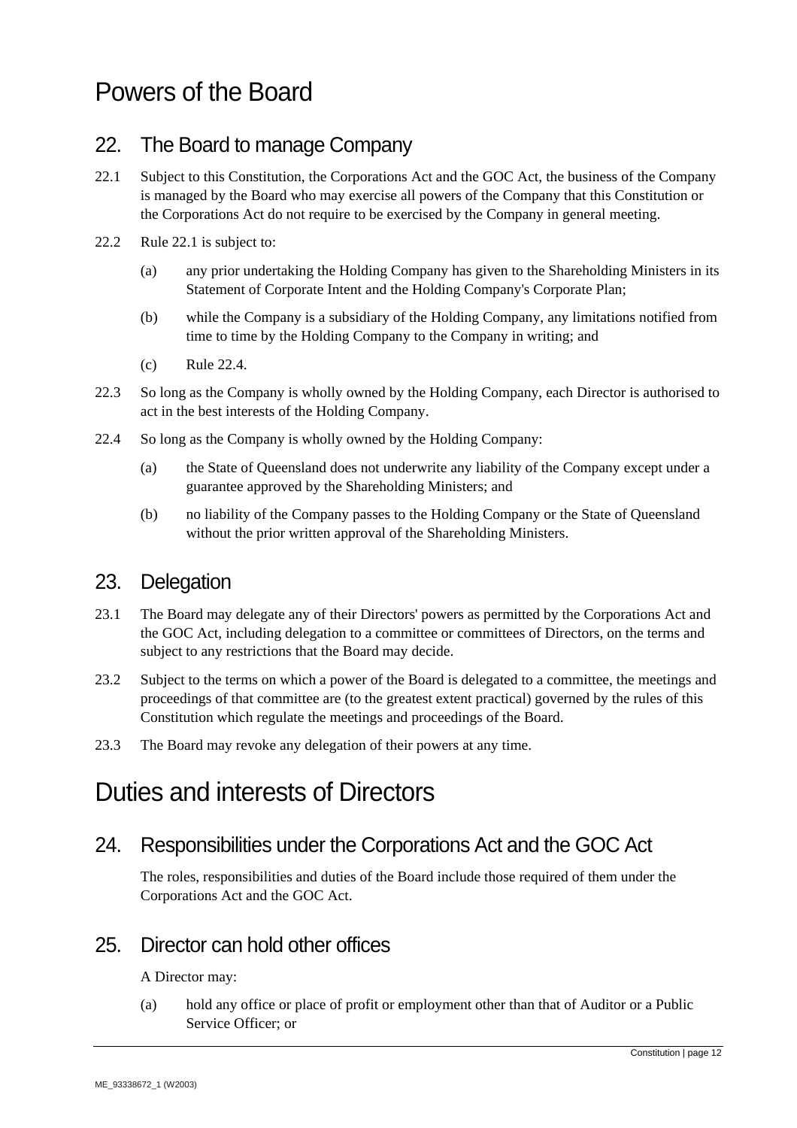# Powers of the Board

#### 22. The Board to manage Company

- 22.1 Subject to this Constitution, the Corporations Act and the GOC Act, the business of the Company is managed by the Board who may exercise all powers of the Company that this Constitution or the Corporations Act do not require to be exercised by the Company in general meeting.
- 22.2 Rule 22.1 is subject to:
	- (a) any prior undertaking the Holding Company has given to the Shareholding Ministers in its Statement of Corporate Intent and the Holding Company's Corporate Plan;
	- (b) while the Company is a subsidiary of the Holding Company, any limitations notified from time to time by the Holding Company to the Company in writing; and
	- (c) Rule 22.4.
- 22.3 So long as the Company is wholly owned by the Holding Company, each Director is authorised to act in the best interests of the Holding Company.
- 22.4 So long as the Company is wholly owned by the Holding Company:
	- (a) the State of Queensland does not underwrite any liability of the Company except under a guarantee approved by the Shareholding Ministers; and
	- (b) no liability of the Company passes to the Holding Company or the State of Queensland without the prior written approval of the Shareholding Ministers.

#### 23. Delegation

- 23.1 The Board may delegate any of their Directors' powers as permitted by the Corporations Act and the GOC Act, including delegation to a committee or committees of Directors, on the terms and subject to any restrictions that the Board may decide.
- 23.2 Subject to the terms on which a power of the Board is delegated to a committee, the meetings and proceedings of that committee are (to the greatest extent practical) governed by the rules of this Constitution which regulate the meetings and proceedings of the Board.
- 23.3 The Board may revoke any delegation of their powers at any time.

# Duties and interests of Directors

#### 24. Responsibilities under the Corporations Act and the GOC Act

The roles, responsibilities and duties of the Board include those required of them under the Corporations Act and the GOC Act.

#### 25. Director can hold other offices

A Director may:

(a) hold any office or place of profit or employment other than that of Auditor or a Public Service Officer; or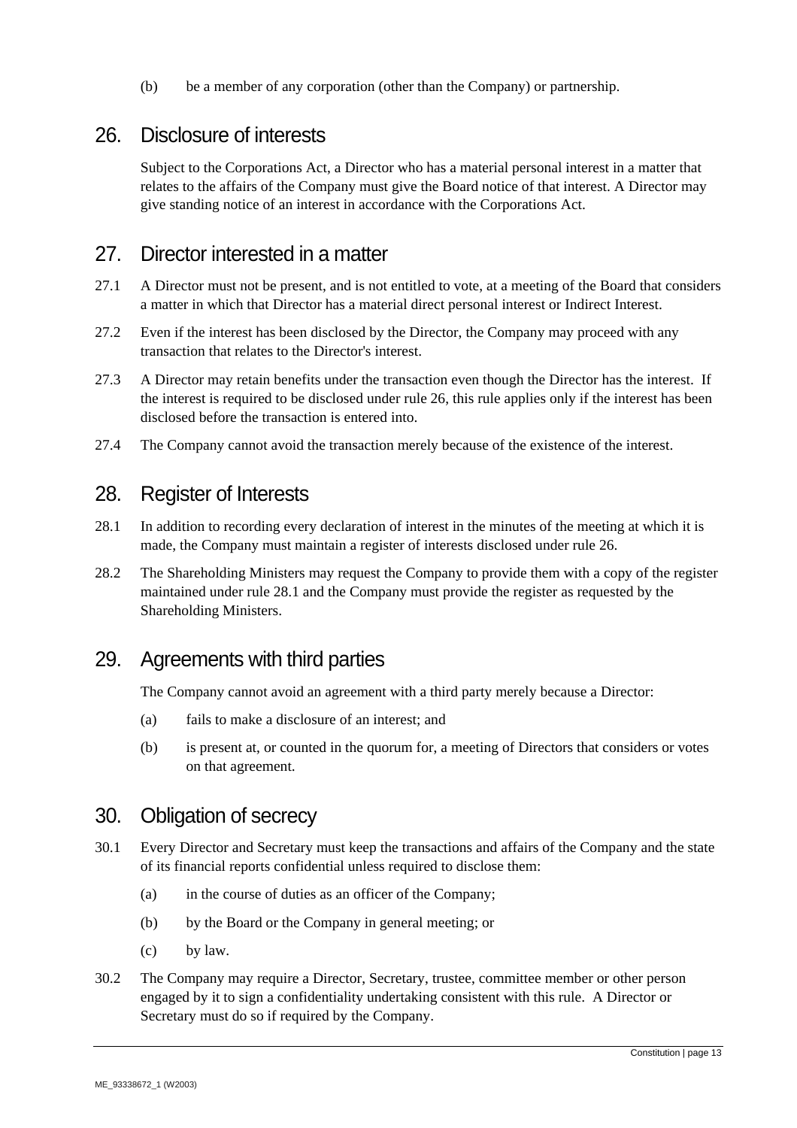(b) be a member of any corporation (other than the Company) or partnership.

#### 26. Disclosure of interests

Subject to the Corporations Act, a Director who has a material personal interest in a matter that relates to the affairs of the Company must give the Board notice of that interest. A Director may give standing notice of an interest in accordance with the Corporations Act.

#### 27. Director interested in a matter

- 27.1 A Director must not be present, and is not entitled to vote, at a meeting of the Board that considers a matter in which that Director has a material direct personal interest or Indirect Interest.
- 27.2 Even if the interest has been disclosed by the Director, the Company may proceed with any transaction that relates to the Director's interest.
- 27.3 A Director may retain benefits under the transaction even though the Director has the interest. If the interest is required to be disclosed under rule 26, this rule applies only if the interest has been disclosed before the transaction is entered into.
- 27.4 The Company cannot avoid the transaction merely because of the existence of the interest.

#### 28. Register of Interests

- 28.1 In addition to recording every declaration of interest in the minutes of the meeting at which it is made, the Company must maintain a register of interests disclosed under rule 26.
- 28.2 The Shareholding Ministers may request the Company to provide them with a copy of the register maintained under rule 28.1 and the Company must provide the register as requested by the Shareholding Ministers.

#### 29. Agreements with third parties

The Company cannot avoid an agreement with a third party merely because a Director:

- (a) fails to make a disclosure of an interest; and
- (b) is present at, or counted in the quorum for, a meeting of Directors that considers or votes on that agreement.

#### 30. Obligation of secrecy

- 30.1 Every Director and Secretary must keep the transactions and affairs of the Company and the state of its financial reports confidential unless required to disclose them:
	- (a) in the course of duties as an officer of the Company;
	- (b) by the Board or the Company in general meeting; or
	- (c) by law.
- 30.2 The Company may require a Director, Secretary, trustee, committee member or other person engaged by it to sign a confidentiality undertaking consistent with this rule. A Director or Secretary must do so if required by the Company.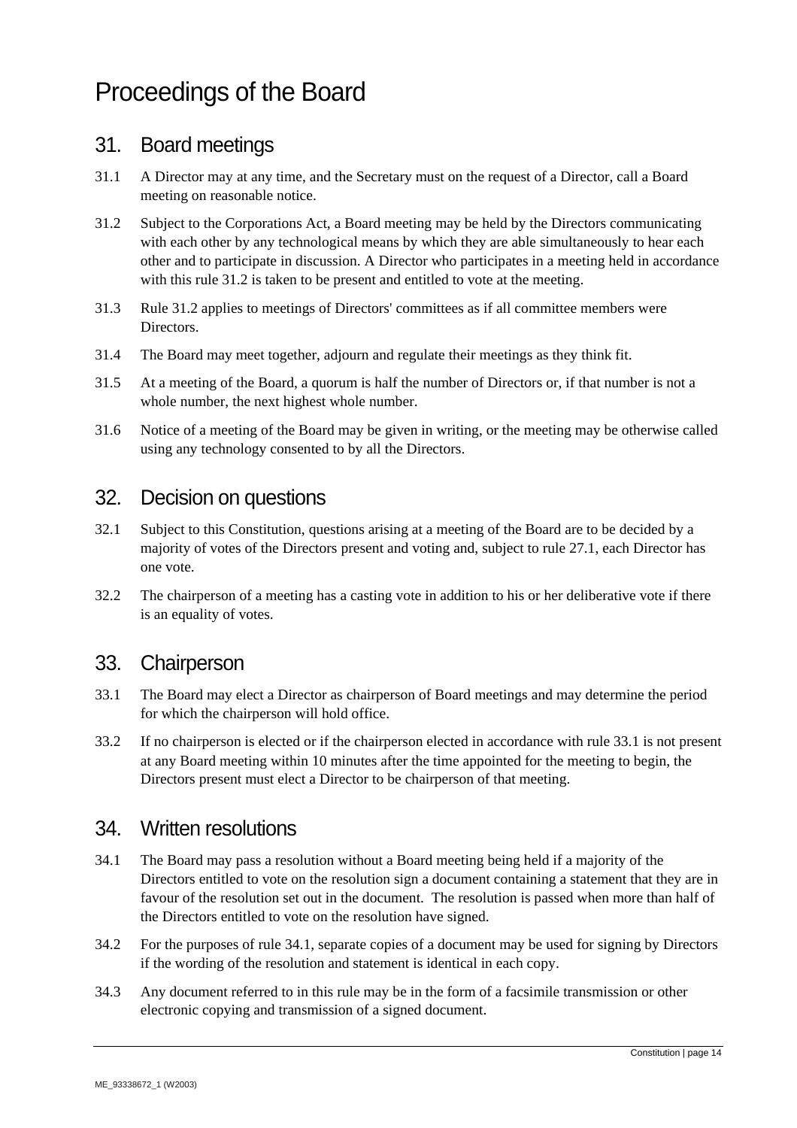# Proceedings of the Board

#### 31. Board meetings

- 31.1 A Director may at any time, and the Secretary must on the request of a Director, call a Board meeting on reasonable notice.
- 31.2 Subject to the Corporations Act, a Board meeting may be held by the Directors communicating with each other by any technological means by which they are able simultaneously to hear each other and to participate in discussion. A Director who participates in a meeting held in accordance with this rule 31.2 is taken to be present and entitled to vote at the meeting.
- 31.3 Rule 31.2 applies to meetings of Directors' committees as if all committee members were Directors.
- 31.4 The Board may meet together, adjourn and regulate their meetings as they think fit.
- 31.5 At a meeting of the Board, a quorum is half the number of Directors or, if that number is not a whole number, the next highest whole number.
- 31.6 Notice of a meeting of the Board may be given in writing, or the meeting may be otherwise called using any technology consented to by all the Directors.

#### 32. Decision on questions

- 32.1 Subject to this Constitution, questions arising at a meeting of the Board are to be decided by a majority of votes of the Directors present and voting and, subject to rule 27.1, each Director has one vote.
- 32.2 The chairperson of a meeting has a casting vote in addition to his or her deliberative vote if there is an equality of votes.

#### 33. Chairperson

- 33.1 The Board may elect a Director as chairperson of Board meetings and may determine the period for which the chairperson will hold office.
- 33.2 If no chairperson is elected or if the chairperson elected in accordance with rule 33.1 is not present at any Board meeting within 10 minutes after the time appointed for the meeting to begin, the Directors present must elect a Director to be chairperson of that meeting.

#### 34. Written resolutions

- 34.1 The Board may pass a resolution without a Board meeting being held if a majority of the Directors entitled to vote on the resolution sign a document containing a statement that they are in favour of the resolution set out in the document. The resolution is passed when more than half of the Directors entitled to vote on the resolution have signed.
- 34.2 For the purposes of rule 34.1, separate copies of a document may be used for signing by Directors if the wording of the resolution and statement is identical in each copy.
- 34.3 Any document referred to in this rule may be in the form of a facsimile transmission or other electronic copying and transmission of a signed document.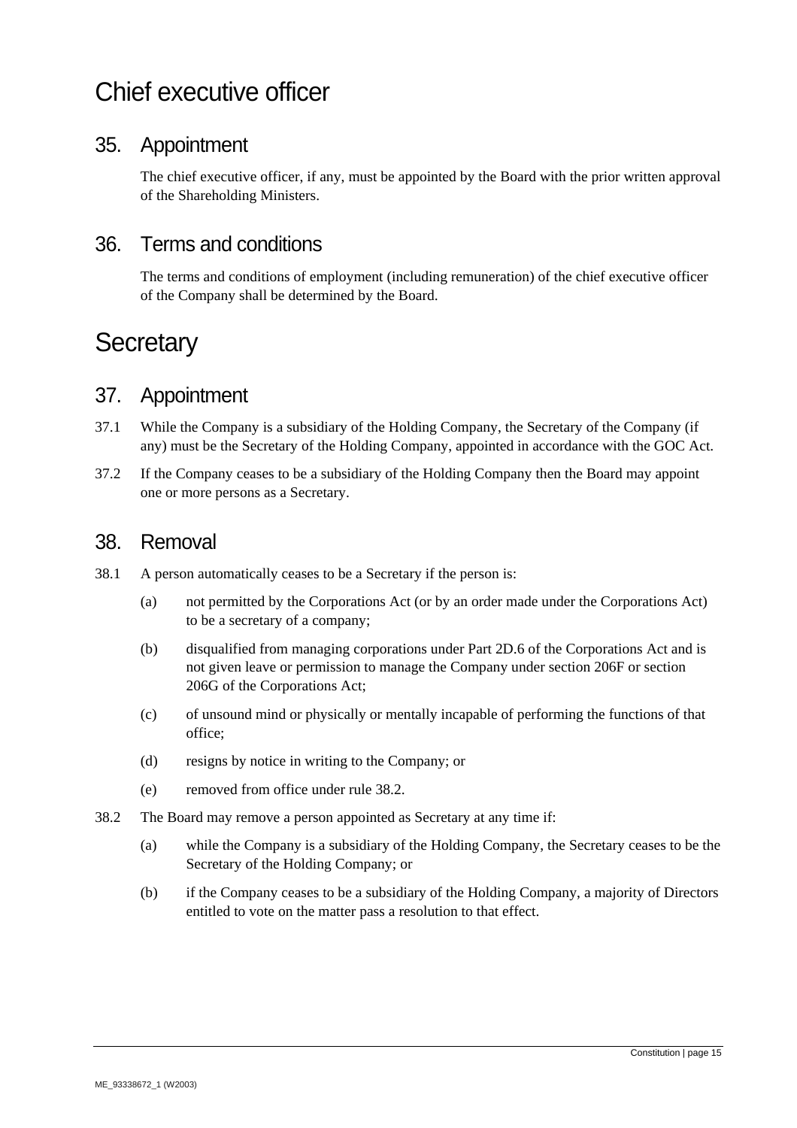# Chief executive officer

#### 35. Appointment

The chief executive officer, if any, must be appointed by the Board with the prior written approval of the Shareholding Ministers.

#### 36. Terms and conditions

The terms and conditions of employment (including remuneration) of the chief executive officer of the Company shall be determined by the Board.

# **Secretary**

#### 37. Appointment

- 37.1 While the Company is a subsidiary of the Holding Company, the Secretary of the Company (if any) must be the Secretary of the Holding Company, appointed in accordance with the GOC Act.
- 37.2 If the Company ceases to be a subsidiary of the Holding Company then the Board may appoint one or more persons as a Secretary.

#### 38. Removal

- 38.1 A person automatically ceases to be a Secretary if the person is:
	- (a) not permitted by the Corporations Act (or by an order made under the Corporations Act) to be a secretary of a company;
	- (b) disqualified from managing corporations under Part 2D.6 of the Corporations Act and is not given leave or permission to manage the Company under section 206F or section 206G of the Corporations Act;
	- (c) of unsound mind or physically or mentally incapable of performing the functions of that office;
	- (d) resigns by notice in writing to the Company; or
	- (e) removed from office under rule 38.2.
- 38.2 The Board may remove a person appointed as Secretary at any time if:
	- (a) while the Company is a subsidiary of the Holding Company, the Secretary ceases to be the Secretary of the Holding Company; or
	- (b) if the Company ceases to be a subsidiary of the Holding Company, a majority of Directors entitled to vote on the matter pass a resolution to that effect.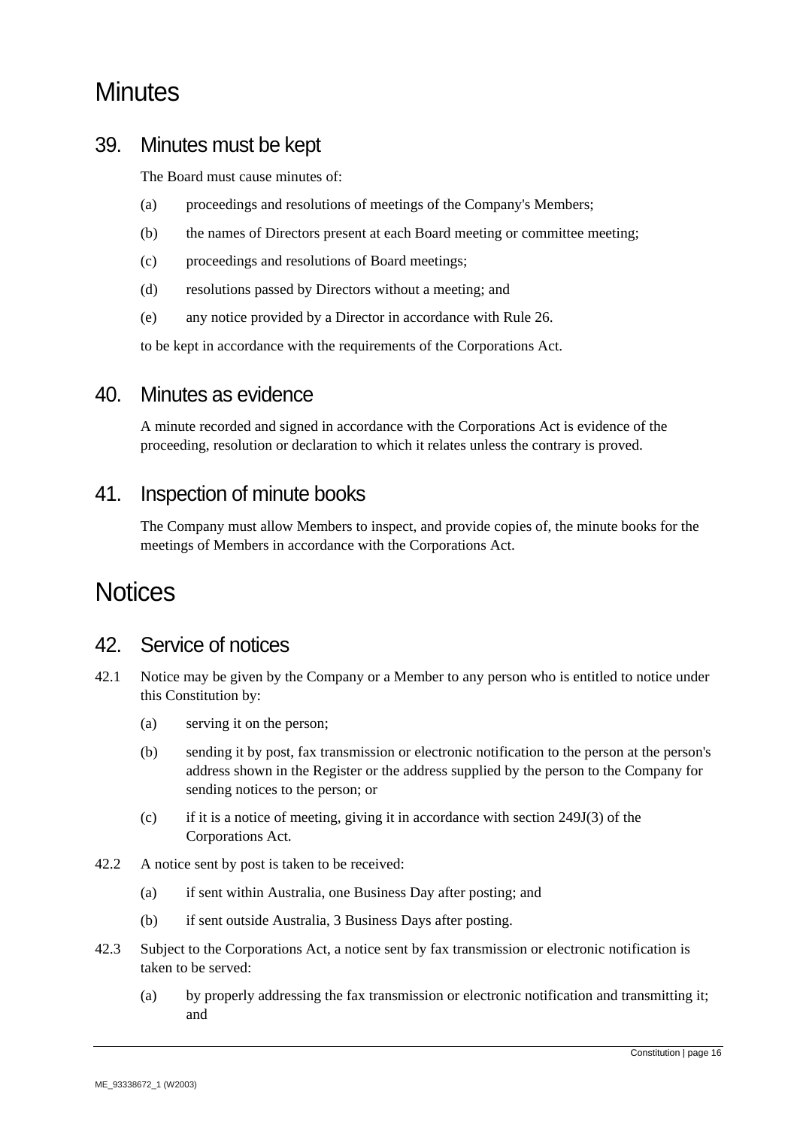# **Minutes**

#### 39. Minutes must be kept

The Board must cause minutes of:

- (a) proceedings and resolutions of meetings of the Company's Members;
- (b) the names of Directors present at each Board meeting or committee meeting;
- (c) proceedings and resolutions of Board meetings;
- (d) resolutions passed by Directors without a meeting; and
- (e) any notice provided by a Director in accordance with Rule 26.

to be kept in accordance with the requirements of the Corporations Act.

#### 40. Minutes as evidence

A minute recorded and signed in accordance with the Corporations Act is evidence of the proceeding, resolution or declaration to which it relates unless the contrary is proved.

#### 41. Inspection of minute books

The Company must allow Members to inspect, and provide copies of, the minute books for the meetings of Members in accordance with the Corporations Act.

# **Notices**

#### 42. Service of notices

- 42.1 Notice may be given by the Company or a Member to any person who is entitled to notice under this Constitution by:
	- (a) serving it on the person;
	- (b) sending it by post, fax transmission or electronic notification to the person at the person's address shown in the Register or the address supplied by the person to the Company for sending notices to the person; or
	- (c) if it is a notice of meeting, giving it in accordance with section 249J(3) of the Corporations Act.
- 42.2 A notice sent by post is taken to be received:
	- (a) if sent within Australia, one Business Day after posting; and
	- (b) if sent outside Australia, 3 Business Days after posting.
- 42.3 Subject to the Corporations Act, a notice sent by fax transmission or electronic notification is taken to be served:
	- (a) by properly addressing the fax transmission or electronic notification and transmitting it; and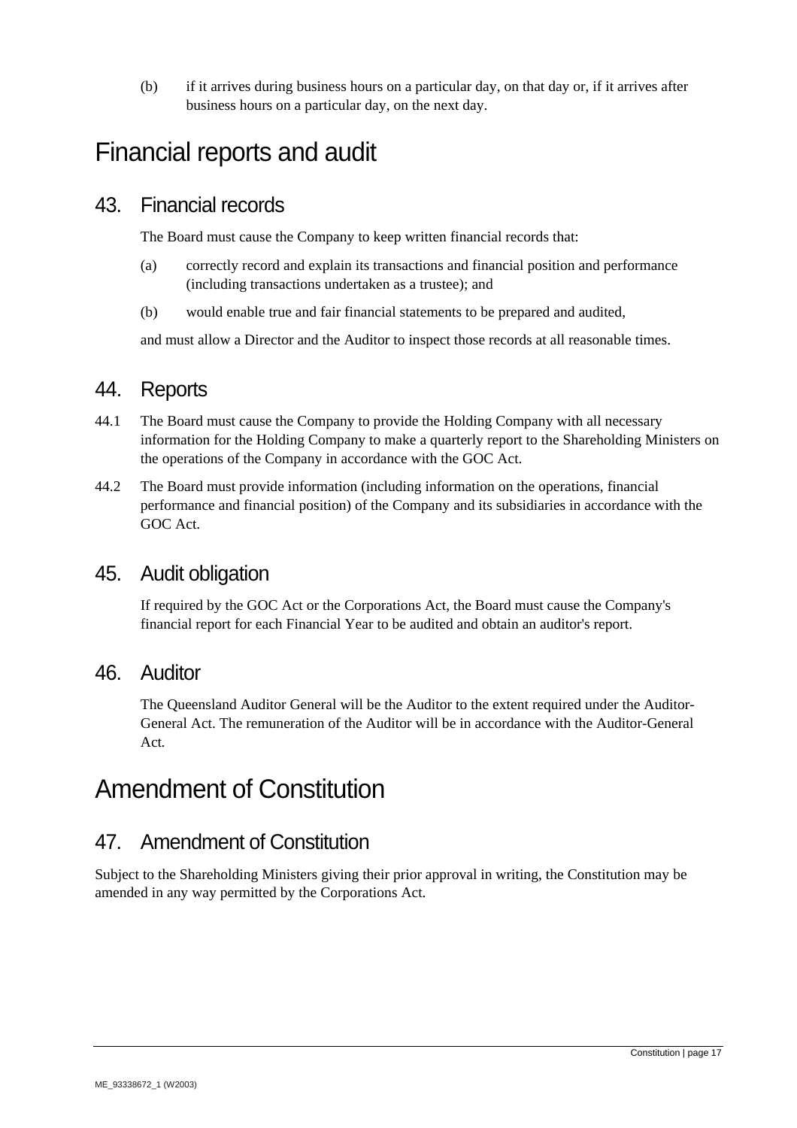(b) if it arrives during business hours on a particular day, on that day or, if it arrives after business hours on a particular day, on the next day.

# Financial reports and audit

#### 43. Financial records

The Board must cause the Company to keep written financial records that:

- (a) correctly record and explain its transactions and financial position and performance (including transactions undertaken as a trustee); and
- (b) would enable true and fair financial statements to be prepared and audited,

and must allow a Director and the Auditor to inspect those records at all reasonable times.

#### 44. Reports

- 44.1 The Board must cause the Company to provide the Holding Company with all necessary information for the Holding Company to make a quarterly report to the Shareholding Ministers on the operations of the Company in accordance with the GOC Act.
- 44.2 The Board must provide information (including information on the operations, financial performance and financial position) of the Company and its subsidiaries in accordance with the GOC Act.

#### 45. Audit obligation

If required by the GOC Act or the Corporations Act, the Board must cause the Company's financial report for each Financial Year to be audited and obtain an auditor's report.

#### 46. Auditor

The Queensland Auditor General will be the Auditor to the extent required under the Auditor-General Act. The remuneration of the Auditor will be in accordance with the Auditor-General Act*.*

# Amendment of Constitution

#### 47. Amendment of Constitution

Subject to the Shareholding Ministers giving their prior approval in writing, the Constitution may be amended in any way permitted by the Corporations Act.